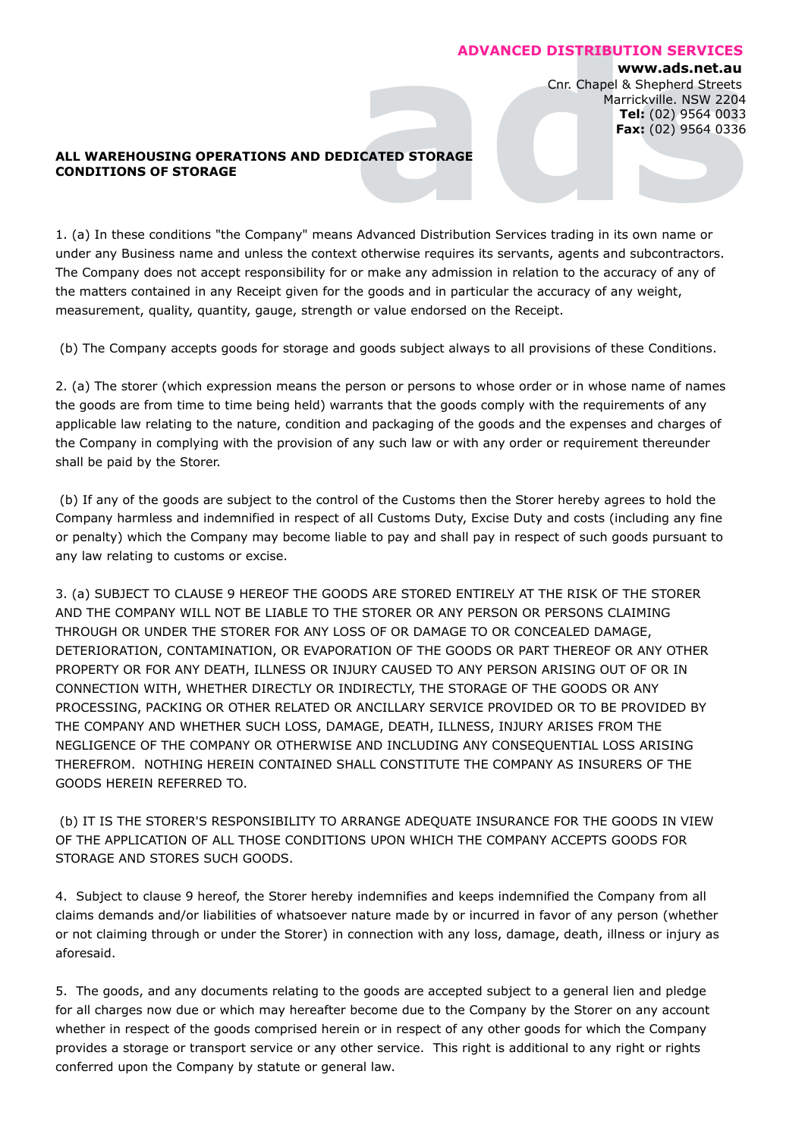## **ADVANCED DISTRIBUTION SERVICES**

## **www.ads.net.au**

**ED DISTRIBUT**<br>Cnr. Chapel &<br>Marr<br>TF<br>Pa Sorvices trading in its **TON SERVICES**<br>
ww.ads.net.au<br>
chepherd Streets<br>
del: (02) 9564 0033<br>
x: (02) 9564 0336<br>
x: (02) 9564 0336<br>
x: (02) 9564 0336 Cnr. Chapel & Shepherd Streets Marrickville. NSW 2204 **Tel:** (02) 9564 0033 **Fax:** (02) 9564 0336

## ALL WAREHOUSING OPERATIONS AND DEDICATED STORAGE **CONDITIONS OF STORAGE ADV**<br> **ICATED STORAGE**

1. (a) In these conditions "the Company" means Advanced Distribution Services trading in its own name or under any Business name and unless the context otherwise requires its servants, agents and subcontractors. The Company does not accept responsibility for or make any admission in relation to the accuracy of any of the matters contained in any Receipt given for the goods and in particular the accuracy of any weight, measurement, quality, quantity, gauge, strength or value endorsed on the Receipt.

(b) The Company accepts goods for storage and goods subject always to all provisions of these Conditions.

2. (a) The storer (which expression means the person or persons to whose order or in whose name of names the goods are from time to time being held) warrants that the goods comply with the requirements of any applicable law relating to the nature, condition and packaging of the goods and the expenses and charges of the Company in complying with the provision of any such law or with any order or requirement thereunder shall be paid by the Storer.

(b) If any of the goods are subject to the control of the Customs then the Storer hereby agrees to hold the Company harmless and indemnified in respect of all Customs Duty, Excise Duty and costs (including any fine or penalty) which the Company may become liable to pay and shall pay in respect of such goods pursuant to any law relating to customs or excise.

3. (a) SUBJECT TO CLAUSE 9 HEREOF THE GOODS ARE STORED ENTIRELY AT THE RISK OF THE STORER AND THE COMPANY WILL NOT BE LIABLE TO THE STORER OR ANY PERSON OR PERSONS CLAIMING THROUGH OR UNDER THE STORER FOR ANY LOSS OF OR DAMAGE TO OR CONCEALED DAMAGE, DETERIORATION, CONTAMINATION, OR EVAPORATION OF THE GOODS OR PART THEREOF OR ANY OTHER PROPERTY OR FOR ANY DEATH, ILLNESS OR INJURY CAUSED TO ANY PERSON ARISING OUT OF OR IN CONNECTION WITH, WHETHER DIRECTLY OR INDIRECTLY, THE STORAGE OF THE GOODS OR ANY PROCESSING, PACKING OR OTHER RELATED OR ANCILLARY SERVICE PROVIDED OR TO BE PROVIDED BY THE COMPANY AND WHETHER SUCH LOSS, DAMAGE, DEATH, ILLNESS, INJURY ARISES FROM THE NEGLIGENCE OF THE COMPANY OR OTHERWISE AND INCLUDING ANY CONSEQUENTIAL LOSS ARISING THEREFROM. NOTHING HEREIN CONTAINED SHALL CONSTITUTE THE COMPANY AS INSURERS OF THE GOODS HEREIN REFERRED TO.

(b) IT IS THE STORER'S RESPONSIBILITY TO ARRANGE ADEQUATE INSURANCE FOR THE GOODS IN VIEW OF THE APPLICATION OF ALL THOSE CONDITIONS UPON WHICH THE COMPANY ACCEPTS GOODS FOR STORAGE AND STORES SUCH GOODS.

4. Subject to clause 9 hereof, the Storer hereby indemnifies and keeps indemnified the Company from all claims demands and/or liabilities of whatsoever nature made by or incurred in favor of any person (whether or not claiming through or under the Storer) in connection with any loss, damage, death, illness or injury as aforesaid.

5. The goods, and any documents relating to the goods are accepted subject to a general lien and pledge for all charges now due or which may hereafter become due to the Company by the Storer on any account whether in respect of the goods comprised herein or in respect of any other goods for which the Company provides a storage or transport service or any other service. This right is additional to any right or rights conferred upon the Company by statute or general law.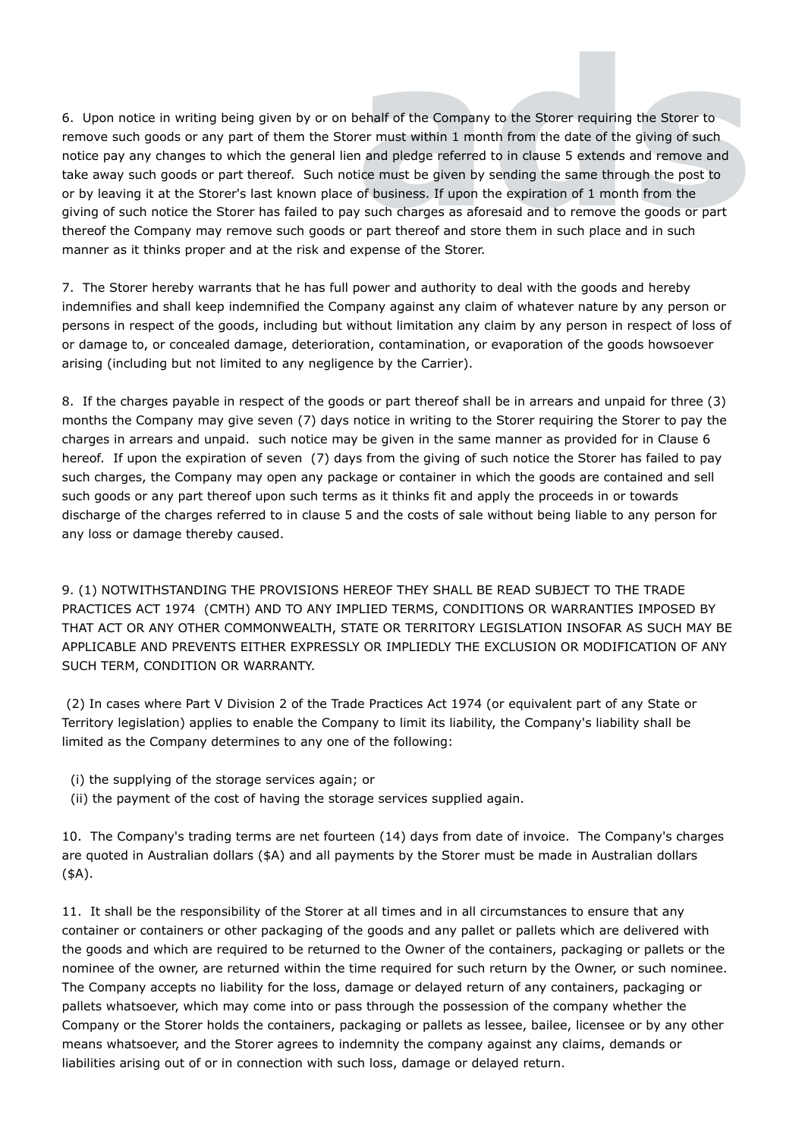**6.** Upon notice in writing being given by or on behalf of the Company to the Storer requiring the Storer to remove such goods or any part of them the Storer must within 1 month from the date of the giving of such notice p remove such goods or any part of them the Storer must within 1 month from the date of the giving of such notice pay any changes to which the general lien and pledge referred to in clause 5 extends and remove and take away such goods or part thereof. Such notice must be given by sending the same through the post to or by leaving it at the Storer's last known place of business. If upon the expiration of 1 month from the giving of such notice the Storer has failed to pay such charges as aforesaid and to remove the goods or part thereof the Company may remove such goods or part thereof and store them in such place and in such manner as it thinks proper and at the risk and expense of the Storer.

7. The Storer hereby warrants that he has full power and authority to deal with the goods and hereby indemnifies and shall keep indemnified the Company against any claim of whatever nature by any person or persons in respect of the goods, including but without limitation any claim by any person in respect of loss of or damage to, or concealed damage, deterioration, contamination, or evaporation of the goods howsoever arising (including but not limited to any negligence by the Carrier).

8. If the charges payable in respect of the goods or part thereof shall be in arrears and unpaid for three (3) months the Company may give seven (7) days notice in writing to the Storer requiring the Storer to pay the charges in arrears and unpaid. such notice may be given in the same manner as provided for in Clause 6 hereof. If upon the expiration of seven (7) days from the giving of such notice the Storer has failed to pay such charges, the Company may open any package or container in which the goods are contained and sell such goods or any part thereof upon such terms as it thinks fit and apply the proceeds in or towards discharge of the charges referred to in clause 5 and the costs of sale without being liable to any person for any loss or damage thereby caused.

9. (1) NOTWITHSTANDING THE PROVISIONS HEREOF THEY SHALL BE READ SUBJECT TO THE TRADE PRACTICES ACT 1974 (CMTH) AND TO ANY IMPLIED TERMS, CONDITIONS OR WARRANTIES IMPOSED BY THAT ACT OR ANY OTHER COMMONWEALTH, STATE OR TERRITORY LEGISLATION INSOFAR AS SUCH MAY BE APPLICABLE AND PREVENTS EITHER EXPRESSLY OR IMPLIEDLY THE EXCLUSION OR MODIFICATION OF ANY SUCH TERM, CONDITION OR WARRANTY.

(2) In cases where Part V Division 2 of the Trade Practices Act 1974 (or equivalent part of any State or Territory legislation) applies to enable the Company to limit its liability, the Company's liability shall be limited as the Company determines to any one of the following:

- (i) the supplying of the storage services again; or
- (ii) the payment of the cost of having the storage services supplied again.

10. The Company's trading terms are net fourteen (14) days from date of invoice. The Company's charges are quoted in Australian dollars (\$A) and all payments by the Storer must be made in Australian dollars (\$A).

11. It shall be the responsibility of the Storer at all times and in all circumstances to ensure that any container or containers or other packaging of the goods and any pallet or pallets which are delivered with the goods and which are required to be returned to the Owner of the containers, packaging or pallets or the nominee of the owner, are returned within the time required for such return by the Owner, or such nominee. The Company accepts no liability for the loss, damage or delayed return of any containers, packaging or pallets whatsoever, which may come into or pass through the possession of the company whether the Company or the Storer holds the containers, packaging or pallets as lessee, bailee, licensee or by any other means whatsoever, and the Storer agrees to indemnity the company against any claims, demands or liabilities arising out of or in connection with such loss, damage or delayed return.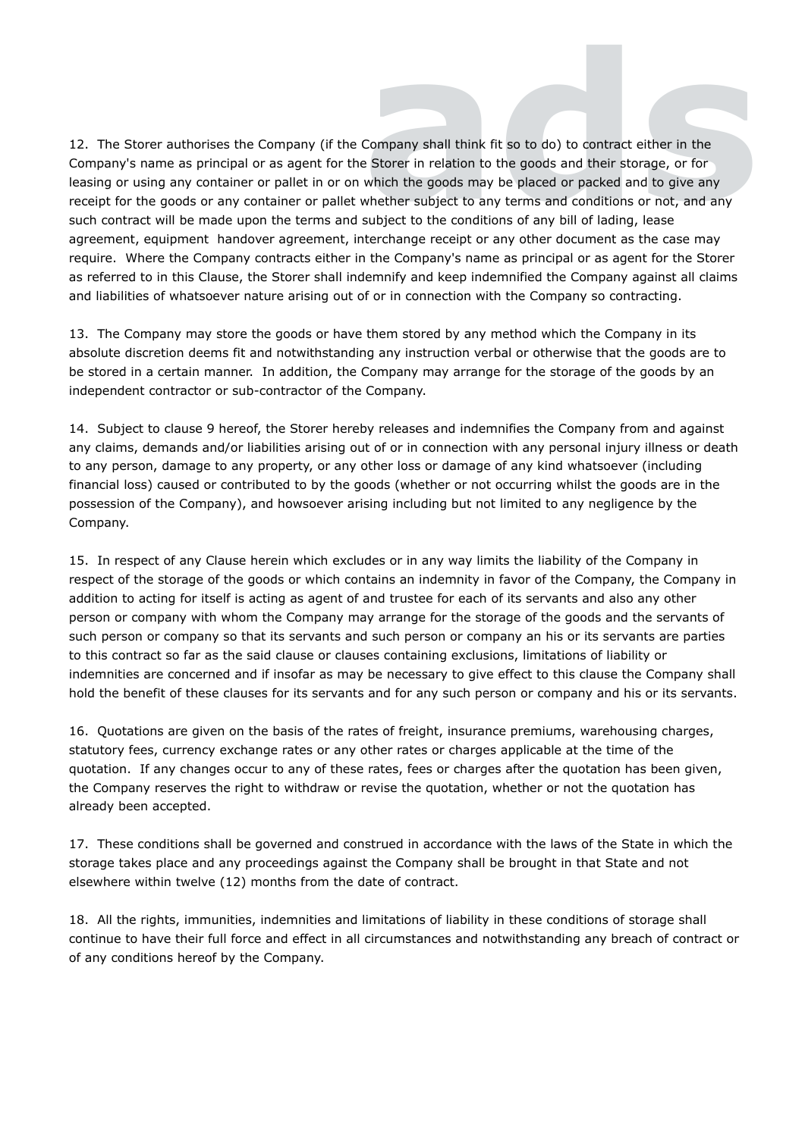12. The Storer authorises the Company (if the Company shall think fit so to do) to contract either in the **Company shall think fi**<br> **e** Storer in relation to<br>
which the goods may<br>
whether subject to any<br>
subject to the condition **d**t so to do) to contract e<br>the goods and their stor<br>be placed or packed and<br>y terms and conditions cons of any bill of lading, either in the<br>rage, or for<br>d to give any<br>or not, and any<br>lease Company's name as principal or as agent for the Storer in relation to the goods and their storage, or for leasing or using any container or pallet in or on which the goods may be placed or packed and to give any receipt for the goods or any container or pallet whether subject to any terms and conditions or not, and any such contract will be made upon the terms and subject to the conditions of any bill of lading, lease agreement, equipment handover agreement, interchange receipt or any other document as the case may require. Where the Company contracts either in the Company's name as principal or as agent for the Storer as referred to in this Clause, the Storer shall indemnify and keep indemnified the Company against all claims and liabilities of whatsoever nature arising out of or in connection with the Company so contracting.

13. The Company may store the goods or have them stored by any method which the Company in its absolute discretion deems fit and notwithstanding any instruction verbal or otherwise that the goods are to be stored in a certain manner. In addition, the Company may arrange for the storage of the goods by an independent contractor or sub-contractor of the Company.

14. Subject to clause 9 hereof, the Storer hereby releases and indemnifies the Company from and against any claims, demands and/or liabilities arising out of or in connection with any personal injury illness or death to any person, damage to any property, or any other loss or damage of any kind whatsoever (including financial loss) caused or contributed to by the goods (whether or not occurring whilst the goods are in the possession of the Company), and howsoever arising including but not limited to any negligence by the Company.

15. In respect of any Clause herein which excludes or in any way limits the liability of the Company in respect of the storage of the goods or which contains an indemnity in favor of the Company, the Company in addition to acting for itself is acting as agent of and trustee for each of its servants and also any other person or company with whom the Company may arrange for the storage of the goods and the servants of such person or company so that its servants and such person or company an his or its servants are parties to this contract so far as the said clause or clauses containing exclusions, limitations of liability or indemnities are concerned and if insofar as may be necessary to give effect to this clause the Company shall hold the benefit of these clauses for its servants and for any such person or company and his or its servants.

16. Quotations are given on the basis of the rates of freight, insurance premiums, warehousing charges, statutory fees, currency exchange rates or any other rates or charges applicable at the time of the quotation. If any changes occur to any of these rates, fees or charges after the quotation has been given, the Company reserves the right to withdraw or revise the quotation, whether or not the quotation has already been accepted.

17. These conditions shall be governed and construed in accordance with the laws of the State in which the storage takes place and any proceedings against the Company shall be brought in that State and not elsewhere within twelve (12) months from the date of contract.

18. All the rights, immunities, indemnities and limitations of liability in these conditions of storage shall continue to have their full force and effect in all circumstances and notwithstanding any breach of contract or of any conditions hereof by the Company.